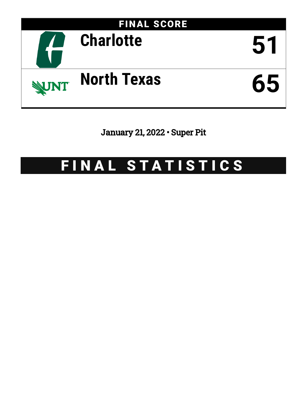

January 21, 2022 • Super Pit

# FINAL STATISTICS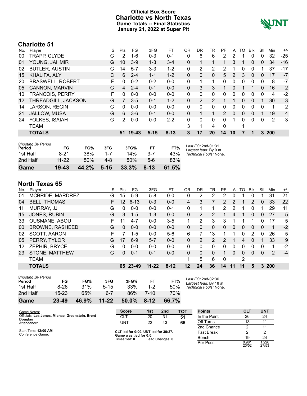### **Official Box Score Charlotte vs North Texas Game Totals -- Final Statistics January 21, 2022 at Super Pit**



# **Charlotte 51**

| No.               | Plaver                  | S  | Pts      | FG      | 3FG      | <b>FT</b> | ΟR       | DR | TR             | PF            | A  | TO       | Blk      | Stl          | Min  | $+/-$          |
|-------------------|-------------------------|----|----------|---------|----------|-----------|----------|----|----------------|---------------|----|----------|----------|--------------|------|----------------|
| 00                | TRAPP, CLYDE            | G  | 2        | $1 - 6$ | $0 - 3$  | $0 - 1$   | 0        | 6  | 6              | 2             | 2  |          | 0        | 0            | 32   | $-25$          |
| 01                | YOUNG, JAHMIR           | G  | 10       | $3-9$   | $1 - 3$  | $3 - 4$   | 0        | 1  | 1              | 1             | 3  |          | 0        | $\mathbf{0}$ | 34   | $-16$          |
| 02                | <b>BUTLER, AUSTIN</b>   | G  | 14       | $5 - 7$ | $3 - 3$  | $1 - 2$   | 0        | 2  | 2              | 2             |    | 0        | 0        |              | 37   | -17            |
| 15                | <b>KHALIFA, ALY</b>     | С  | 6        | $2 - 4$ | $1 - 1$  | $1 - 2$   | 0        | 0  | $\Omega$       | 5.            | 2  | 3        | 0        | 0            | 17   | $-7$           |
| 20                | <b>BRASWELL, ROBERT</b> | F. | $\Omega$ | $0 - 2$ | $0 - 2$  | $0 - 0$   | 0        | 1  | 1.             | $\Omega$      | 0  | 0        | $\Omega$ | 0            | 8    | $-7$           |
| 05                | CANNON, MARVIN          | G  | 4        | $2 - 4$ | $0 - 1$  | $0 - 0$   | 0        | 3  | 3              |               | 0  |          |          | 0            | 16   | 2              |
| 10                | <b>FRANCOIS, PERRY</b>  | F  | 0        | $0 - 0$ | $0 - 0$  | $0-0$     | $\Omega$ | 0  | 0              | 0             | 0  | 0        | 0        | 0            | 4    | $-2$           |
| $12 \overline{ }$ | THREADGILL, JACKSON     | G  | 7        | $3 - 5$ | $0 - 1$  | $1 - 2$   | 0        | 2  | $\overline{2}$ |               |    | $\Omega$ | $\Omega$ | 1            | 30   | 3              |
| 14                | <b>LARSON, REGIN</b>    | G  | 0        | $0 - 0$ | $0 - 0$  | $0-0$     | 0        | 0  | 0              | 0             | 0  | 0        | 0        | 0            | 1    | $\overline{2}$ |
| 21                | <b>JALLOW, MUSA</b>     | G  | 6        | $3-6$   | $0 - 1$  | $0 - 0$   | 0        | 1  | 1              | $\mathcal{P}$ | 0  | $\Omega$ | 0        | 1            | 19   | 4              |
| 24                | <b>FOLKES, ISAIAH</b>   | G  | 2        | $0 - 0$ | $0 - 0$  | $2 - 2$   | 0        | 0  | 0              | $\Omega$      |    | 0        | $\Omega$ | 0            | 2    | 3              |
|                   | <b>TEAM</b>             |    |          |         |          |           | 3        | 1  | 4              | $\Omega$      |    | 1        |          |              |      |                |
|                   | <b>TOTALS</b>           |    | 51       | $19-43$ | $5 - 15$ | $8 - 13$  | 3        | 17 | <b>20</b>      | 14            | 10 |          |          | 3.           | -200 |                |
|                   |                         |    |          |         |          |           |          |    |                |               |    |          |          |              |      |                |

| <b>Shooting By Period</b><br>Period | FG        | FG%   | 3FG      | 3FG%  | FT       | FT%   | Last FG: 2nd-01:31<br>Largest lead: By 0 at |
|-------------------------------------|-----------|-------|----------|-------|----------|-------|---------------------------------------------|
| 1st Half                            | $8 - 21$  | 38%   | $1 - 7$  | 14%   | $3 - 7$  | 43%   | Technical Fouls: None.                      |
| 2nd Half                            | $11 - 22$ | 50%   | 4-8      | 50%   | 5-6      | 83%   |                                             |
| Game                                | $19-43$   | 44.2% | $5 - 15$ | 33.3% | $8 - 13$ | 61.5% |                                             |

# **North Texas 65**

| No. | Player                 | S  | Pts             | FG       | 3FG       | FТ       | 0R       | DR       | TR            | PF            | A        | TO | Blk           | Stl      | Min | $+/-$ |
|-----|------------------------|----|-----------------|----------|-----------|----------|----------|----------|---------------|---------------|----------|----|---------------|----------|-----|-------|
| 01  | MCBRIDE, MARDREZ       | G  | 15              | $5-9$    | $5-8$     | $0-0$    | 0        | 2        | 2             | 2             | 0        |    | 0             |          | 31  | 21    |
| 04  | <b>BELL, THOMAS</b>    | F. | 12 <sup>2</sup> | $6 - 13$ | $0 - 3$   | $0 - 0$  | 4        | 3        |               | $\mathcal{P}$ | 2        |    | $\mathcal{P}$ | $\Omega$ | 33  | 22    |
| 11  | <b>MURRAY, JJ</b>      | G  | 0               | $0-0$    | $0 - 0$   | $0 - 1$  | 0        |          |               | 2             | 2        |    | 0             |          | 29  | 11    |
| 15  | JONES, RUBIN           | G  | 3               | $1 - 5$  | $1 - 3$   | $0 - 0$  | 0        | 2        | 2             |               | 4        |    | $\mathbf{0}$  | 0        | 27  | 5     |
| 33  | <b>OUSMANE, ABOU</b>   | F. | 11              | 4-7      | $0 - 0$   | $3-5$    | 1        | 2        | 3             | 3             | 1        |    |               | 0        | 17  | 5     |
| 00  | <b>BROWNE, RASHEED</b> | G  | 0               | $0 - 0$  | $0 - 0$   | $0 - 0$  | 0        | 0        | 0             | 0             | 0        | 0  | $\mathbf{0}$  | $\Omega$ | 1   | $-2$  |
| 02  | <b>SCOTT, AARON</b>    | F. |                 | $1 - 5$  | $0 - 0$   | $5-6$    | 6        | 7        | 13            |               | 1        | 0  | 2             | 0        | 26  | 5     |
| 05  | PERRY, TYLOR           | G  | 17              | $6-9$    | $5 - 7$   | $0 - 0$  | $\Omega$ | 2        | $\mathcal{P}$ | 2             | 1        | 4  | $\Omega$      |          | 33  | 9     |
| 12. | ZEPHIR, BRYCE          | G  | 0               | $0-0$    | $0 - 0$   | $0 - 0$  | 0        | $\Omega$ | $\Omega$      | 0             | 0        | 0  | $\Omega$      | 0        | 1   | $-2$  |
| 23  | STONE, MATTHEW         | G  | 0               | $0 - 1$  | $0 - 1$   | $0 - 0$  | $\Omega$ | 0        | $\Omega$      |               | $\Omega$ | 0  | 0             | $\Omega$ | 2   | $-4$  |
|     | <b>TEAM</b>            |    |                 |          |           |          | 1        | 5        | 6             | 0             |          | 2  |               |          |     |       |
|     | <b>TOTALS</b>          |    | 65.             | 23-49    | $11 - 22$ | $8 - 12$ | 12       | 24       | 36            | 14            | 11       | 11 | 5             | 3        | 200 |       |
|     |                        |    |                 |          |           |          |          |          |               |               |          |    |               |          |     |       |

| Game                                | 23-49     | 46.9% | $11 - 22$ | 50.0% | $8 - 12$ | 66.7% |
|-------------------------------------|-----------|-------|-----------|-------|----------|-------|
| 2nd Half                            | $15 - 23$ | 65%   | 6-7       | 86%   | 7-10     | 70%   |
| 1st Half                            | $8-26$    | 31%   | $5 - 15$  | 33%   | $1-2$    | 50%   |
| <b>Shooting By Period</b><br>Period | FG        | FG%   | 3FG       | 3FG%  | FT       | FT%   |

*Last FG:* 2nd-02:36 *Largest lead:* By 18 at *Technical Fouls:* None.

| Game Notes:                                                       | <b>Score</b>                            | 1st | 2 <sub>nd</sub> | <b>TOT</b> | <b>Points</b> | <b>CLT</b>     | <b>UNT</b>     |
|-------------------------------------------------------------------|-----------------------------------------|-----|-----------------|------------|---------------|----------------|----------------|
| Officials: Les Jones, Michael Greenstein, Brent<br><b>Douglas</b> | <b>CLT</b>                              | 20  | 31              | 51         | In the Paint  | 26             | 24             |
| Attendance:                                                       | <b>UNT</b>                              | 22  | 43              | 65         | Off Turns     |                | 11             |
|                                                                   |                                         |     |                 |            | 2nd Chance    |                | 11             |
| Start Time: 12:00 AM<br>Conference Game:                          | CLT led for 0:00. UNT led for 39:27.    |     |                 | Fast Break |               |                |                |
|                                                                   | Game was tied for 0:0.<br>Times tied: 0 |     | Lead Changes: 0 |            | Bench         | 19             | 24             |
|                                                                   |                                         |     |                 |            | Per Poss      | 0.981<br>23/52 | 1.226<br>27/53 |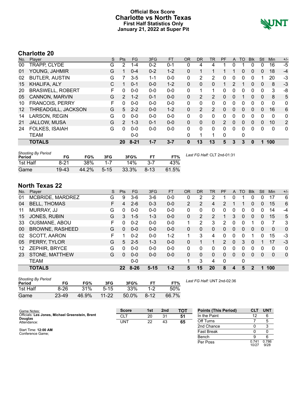### **Official Box Score Charlotte vs North Texas First Half Statistics Only January 21, 2022 at Super Pit**



# **Charlotte 20**

| No. | Player                  | S  | <b>Pts</b>    | <b>FG</b> | 3FG     | <b>FT</b> | <b>OR</b> | <b>DR</b> | <b>TR</b>      | PF            | A        | TO       | <b>Blk</b>   | Stl      | Min      | $+/-$          |
|-----|-------------------------|----|---------------|-----------|---------|-----------|-----------|-----------|----------------|---------------|----------|----------|--------------|----------|----------|----------------|
| 00  | TRAPP, CLYDE            | G  | 2             | 1-4       | $0 - 2$ | $0 - 1$   | 0         | 4         | 4              |               | 0        |          |              | 0        | 16       | -5             |
| 01  | YOUNG, JAHMIR           | G  |               | $0 - 4$   | $0 - 2$ | $1 - 2$   | 0         | 1         |                |               |          | 0        | $\mathbf{0}$ | 0        | 18       | $-4$           |
| 02  | <b>BUTLER, AUSTIN</b>   | G  |               | $3-5$     | $1 - 1$ | $0 - 0$   | 0         | 2         | 2              | 0             | 0        | 0        | 0            |          | 20       | $-3$           |
| 15  | KHALIFA, ALY            | С  |               | $0 - 1$   | $0 - 0$ | $1 - 2$   | 0         | $\Omega$  | 0              | 1.            | 2        |          | 0            | 0        | 8        | $-3$           |
| 20  | <b>BRASWELL, ROBERT</b> | F. | 0             | $0 - 0$   | $0 - 0$ | $0 - 0$   | 0         | 1         | 1.             | 0             | 0        | 0        | $\Omega$     | 0        | 3        | -8             |
| 05  | CANNON, MARVIN          | G  | $\mathcal{P}$ | $1 - 2$   | $0 - 1$ | $0 - 0$   | 0         | 2         | 2              | 0             | 0        |          | $\mathbf{0}$ | 0        | 8        | 5              |
| 10  | <b>FRANCOIS, PERRY</b>  | F  | 0             | $0 - 0$   | $0 - 0$ | $0 - 0$   | 0         | 0         | 0              | 0             | 0        | 0        | 0            | 0        | 0        | 0              |
| 12  | THREADGILL, JACKSON     | G  | 5             | $2 - 2$   | $0 - 0$ | $1 - 2$   | 0         | 2         | $\overline{2}$ | 0             | 0        | $\Omega$ | $\Omega$     | 0        | 16       | 6              |
| 14  | LARSON, REGIN           | G  | 0             | $0 - 0$   | $0 - 0$ | $0-0$     | 0         | 0         | 0              | 0             | 0        | 0        | $\Omega$     | $\Omega$ | 0        | 0              |
| 21  | <b>JALLOW, MUSA</b>     | G  | $\mathcal{P}$ | $1 - 3$   | $0 - 1$ | $0 - 0$   | 0         | $\Omega$  | $\mathbf{0}$   | $\mathcal{P}$ | 0        | $\Omega$ | 0            | $\Omega$ | 10       | $\overline{2}$ |
| 24  | FOLKES, ISAIAH          | G  | 0             | $0 - 0$   | $0 - 0$ | $0 - 0$   | 0         | $\Omega$  | $\Omega$       | 0             | $\Omega$ | $\Omega$ | $\Omega$     | $\Omega$ | $\Omega$ | 0              |
|     | TEAM                    |    |               | $0-0$     |         |           | 0         | 1         | 1              | 0             |          | 0        |              |          |          |                |
|     | <b>TOTALS</b>           |    | 20            | $8 - 21$  | $1 - 7$ | $3 - 7$   | 0         | 13        | 13             | 5             | 3        | 3        | 0            | 1        | 100      |                |

| <b>Shooting By Period</b><br>Period | FG       | FG%        | 3FG      | 3FG%  |          | FT%   | Last FG Half: CLT 2nd-01:31 |
|-------------------------------------|----------|------------|----------|-------|----------|-------|-----------------------------|
| 1st Half                            | $8 - 21$ | <b>38%</b> | $1 - 7$  | 14%   | $3 - 7$  | 43%   |                             |
| Game                                | $19-43$  | 44.2%      | $5 - 15$ | 33.3% | $8 - 13$ | 61.5% |                             |

# **North Texas 22**

| Player<br>MCBRIDE, MARDREZ | S<br>G | <b>Pts</b> | <b>FG</b> | 3FG      | <b>FT</b> | <b>OR</b>      | DR       | TR           | PF             | A        | TO | <b>Blk</b> | Stl      | Min      | $+/-$       |
|----------------------------|--------|------------|-----------|----------|-----------|----------------|----------|--------------|----------------|----------|----|------------|----------|----------|-------------|
|                            |        |            |           |          |           |                |          |              |                |          |    |            |          |          |             |
|                            |        | 9          | 3-6       | $3-6$    | $0 - 0$   | 0              | 2        | 2            |                | 0        |    | 0          | 0        | 17       | 6           |
| <b>BELL, THOMAS</b>        | F      | 4          | $2 - 6$   | $0 - 3$  | $0 - 0$   | $\overline{2}$ | 2        | 4            | $\overline{2}$ |          |    | $\Omega$   | 0        | 15       | 6           |
| MURRAY, JJ                 | G      | 0          | $0 - 0$   | $0 - 0$  | $0 - 0$   | 0              | 0        | 0            | 0              | 0        | 0  | 0          | 0        | 14       | -4          |
| JONES, RUBIN               | G      | 3          | $1 - 5$   | $1 - 3$  | $0 - 0$   | 0              | 2        | 2            |                | 3        | 0  | 0          | 0        | 15       | 5           |
| <b>OUSMANE, ABOU</b>       | F      | 0          | $0 - 2$   | $0 - 0$  | $0 - 0$   | 1              | 2        | 3            | 2              | 0        | 0  |            | 0        | 7        | 3           |
| <b>BROWNE, RASHEED</b>     | G      | 0          | $0 - 0$   | $0 - 0$  | $0 - 0$   | 0              | $\Omega$ | $\Omega$     | 0              | 0        | 0  | 0          | $\Omega$ | $\Omega$ | 0           |
| <b>SCOTT, AARON</b>        | F      | 1          | $0 - 2$   | $0 - 0$  | $1 - 2$   | 1              | 3        | 4            | 0              | 0        | 0  |            | 0        | 15       | -3          |
| PERRY, TYLOR               | G      | 5          | $2 - 5$   | $1 - 3$  | $0 - 0$   | 0              |          |              | $\mathcal{P}$  | $\Omega$ | 3  | $\Omega$   |          | 17       | $-3$        |
| ZEPHIR, BRYCE              | G      | 0          | $0 - 0$   | $0 - 0$  | $0 - 0$   | 0              | 0        | 0            | 0              | 0        | 0  | $\Omega$   | 0        | $\Omega$ | 0           |
| STONE, MATTHEW             | G      | 0          | $0 - 0$   | $0 - 0$  | $0 - 0$   | 0              | 0        | $\mathbf{0}$ | 0              | 0        | 0  | $\Omega$   | 0        | 0        | $\mathbf 0$ |
| <b>TEAM</b>                |        |            | $0 - 0$   |          |           | 1              | 3        | 4            | 0              |          | 0  |            |          |          |             |
| <b>TOTALS</b>              |        | $22 \,$    | $8 - 26$  | $5 - 15$ | $1 - 2$   | 5              | 15       | 20           | 8              | 4        | 5  | 2          |          |          |             |
|                            |        |            |           |          |           |                |          |              |                |          |    |            |          |          | 100         |

| <b>Shooting By Period</b><br>Period | FG    | FG%   | 3FG      | 3FG%  |          | FT%   |
|-------------------------------------|-------|-------|----------|-------|----------|-------|
| 1st Half                            | 8-26  | 31%   | $5 - 15$ | 33%   | 1-2      | 50%   |
| Game                                | 23-49 | 46.9% | 11-22    | 50.0% | $8 - 12$ | 66.7% |

*Last FG Half:* UNT 2nd-02:36

| Game Notes:                                     | <b>Score</b> | 1st | 2 <sub>nd</sub> | <b>TOT</b> | <b>Points (This Period)</b> | СL             | <b>UNT</b>    |
|-------------------------------------------------|--------------|-----|-----------------|------------|-----------------------------|----------------|---------------|
| Officials: Les Jones, Michael Greenstein, Brent | <b>CLT</b>   | 20  | 31              | 51         | In the Paint                |                |               |
| <b>Douglas</b><br>Attendance:                   | UNT          | 22  | 43              | 65         | Off Turns                   |                |               |
|                                                 |              |     |                 |            | 2nd Chance                  |                |               |
| Start Time: 12:00 AM<br>Conference Game:        |              |     |                 |            | Fast Break                  |                |               |
|                                                 |              |     |                 |            | Bench                       |                | 6             |
|                                                 |              |     |                 |            | Per Poss                    | 0.741<br>10/27 | 0.786<br>9/28 |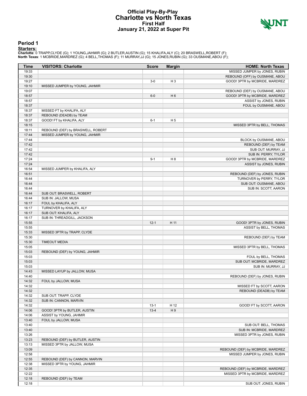#### **Official Play-By-Play Charlotte vs North Texas First Half January 21, 2022 at Super Pit**



#### **Period 1**

<mark>Startersː</mark><br>Charlotte: 0 TRAPP,CLYDE (G); 1 YOUNG,JAHMIR (G); 2 BUTLER,AUSTIN (G); 15 KHALIFA,ALY (C); 20 BRASWELL,ROBERT (F);<br>**North Texas**: 1 MCBRIDE,MARDREZ (G); 4 BELL,THOMAS (F); 11 MURRAY,JJ (G); 15 JONES,RUBIN (G);

| Time  | <b>VISITORS: Charlotte</b>        | <b>Score</b> | <b>Margin</b>  | <b>HOME: North Texas</b>          |
|-------|-----------------------------------|--------------|----------------|-----------------------------------|
| 19:33 |                                   |              |                | MISSED JUMPER by JONES, RUBIN     |
| 19:30 |                                   |              |                | REBOUND (OFF) by OUSMANE, ABOU    |
| 19:27 |                                   | $3-0$        | H <sub>3</sub> | GOOD! 3PTR by MCBRIDE, MARDREZ    |
| 19:10 | MISSED JUMPER by YOUNG, JAHMIR    |              |                |                                   |
| 19:07 |                                   |              |                | REBOUND (DEF) by OUSMANE, ABOU    |
| 18:57 |                                   | $6 - 0$      | H <sub>6</sub> | GOOD! 3PTR by MCBRIDE, MARDREZ    |
| 18:57 |                                   |              |                | ASSIST by JONES, RUBIN            |
| 18:37 |                                   |              |                | FOUL by OUSMANE, ABOU             |
| 18:37 | MISSED FT by KHALIFA, ALY         |              |                |                                   |
| 18:37 | REBOUND (DEADB) by TEAM           |              |                |                                   |
| 18:37 | GOOD! FT by KHALIFA, ALY          | $6 - 1$      | H <sub>5</sub> |                                   |
|       |                                   |              |                |                                   |
| 18:15 |                                   |              |                | MISSED 3PTR by BELL, THOMAS       |
| 18:11 | REBOUND (DEF) by BRASWELL, ROBERT |              |                |                                   |
| 17:44 | MISSED JUMPER by YOUNG, JAHMIR    |              |                |                                   |
| 17:44 |                                   |              |                | BLOCK by OUSMANE, ABOU            |
| 17:42 |                                   |              |                | REBOUND (DEF) by TEAM             |
| 17:42 |                                   |              |                | SUB OUT: MURRAY, JJ               |
| 17:42 |                                   |              |                | SUB IN: PERRY, TYLOR              |
| 17:24 |                                   | $9 - 1$      | H <sub>8</sub> | GOOD! 3PTR by MCBRIDE, MARDREZ    |
| 17:24 |                                   |              |                | ASSIST by JONES, RUBIN            |
| 16:54 | MISSED JUMPER by KHALIFA, ALY     |              |                |                                   |
| 16:51 |                                   |              |                | REBOUND (DEF) by JONES, RUBIN     |
| 16:44 |                                   |              |                | TURNOVER by PERRY, TYLOR          |
| 16:44 |                                   |              |                | SUB OUT: OUSMANE, ABOU            |
| 16:44 |                                   |              |                | SUB IN: SCOTT, AARON              |
| 16:44 | SUB OUT: BRASWELL, ROBERT         |              |                |                                   |
| 16:44 | SUB IN: JALLOW, MUSA              |              |                |                                   |
| 16:17 | FOUL by KHALIFA, ALY              |              |                |                                   |
| 16:17 | TURNOVER by KHALIFA, ALY          |              |                |                                   |
| 16:17 | SUB OUT: KHALIFA, ALY             |              |                |                                   |
| 16:17 | SUB IN: THREADGILL, JACKSON       |              |                |                                   |
| 15:55 |                                   | $12 - 1$     | H 11           | GOOD! 3PTR by JONES, RUBIN        |
| 15:55 |                                   |              |                | ASSIST by BELL, THOMAS            |
| 15:33 | MISSED 3PTR by TRAPP, CLYDE       |              |                |                                   |
| 15:30 |                                   |              |                | REBOUND (DEF) by TEAM             |
| 15:30 | <b>TIMEOUT MEDIA</b>              |              |                |                                   |
| 15:05 |                                   |              |                | MISSED 3PTR by BELL, THOMAS       |
| 15:03 | REBOUND (DEF) by YOUNG, JAHMIR    |              |                |                                   |
| 15:03 |                                   |              |                | FOUL by BELL, THOMAS              |
| 15:03 |                                   |              |                | SUB OUT: MCBRIDE, MARDREZ         |
| 15:03 |                                   |              |                | SUB IN: MURRAY, JJ                |
| 14:43 | MISSED LAYUP by JALLOW, MUSA      |              |                |                                   |
| 14:40 |                                   |              |                | REBOUND (DEF) by JONES, RUBIN     |
| 14:32 | FOUL by JALLOW, MUSA              |              |                |                                   |
| 14:32 |                                   |              |                | MISSED FT by SCOTT, AARON         |
| 14:32 |                                   |              |                |                                   |
| 14:32 | SUB OUT: TRAPP, CLYDE             |              |                | REBOUND (DEADB) by TEAM           |
|       |                                   |              |                |                                   |
| 14:32 | SUB IN: CANNON, MARVIN            |              |                |                                   |
| 14:32 |                                   | $13 - 1$     | H 12           | GOOD! FT by SCOTT, AARON          |
| 14:06 | GOOD! 3PTR by BUTLER, AUSTIN      | $13 - 4$     | H9             |                                   |
| 14:06 | ASSIST by YOUNG, JAHMIR           |              |                |                                   |
| 13:40 | FOUL by JALLOW, MUSA              |              |                |                                   |
| 13:40 |                                   |              |                | SUB OUT: BELL, THOMAS             |
| 13:40 |                                   |              |                | SUB IN: MCBRIDE, MARDREZ          |
| 13:26 |                                   |              |                | MISSED 3PTR by JONES, RUBIN       |
| 13:23 | REBOUND (DEF) by BUTLER, AUSTIN   |              |                |                                   |
| 13:13 | MISSED 3PTR by JALLOW, MUSA       |              |                |                                   |
| 13:09 |                                   |              |                | REBOUND (DEF) by MCBRIDE, MARDREZ |
| 12:58 |                                   |              |                | MISSED JUMPER by JONES, RUBIN     |
| 12:55 | REBOUND (DEF) by CANNON, MARVIN   |              |                |                                   |
| 12:38 | MISSED 3PTR by YOUNG, JAHMIR      |              |                |                                   |
| 12:35 |                                   |              |                | REBOUND (DEF) by MCBRIDE, MARDREZ |
| 12:22 |                                   |              |                | MISSED 3PTR by MCBRIDE, MARDREZ   |
| 12:18 | REBOUND (DEF) by TEAM             |              |                |                                   |
| 12:18 |                                   |              |                | SUB OUT: JONES, RUBIN             |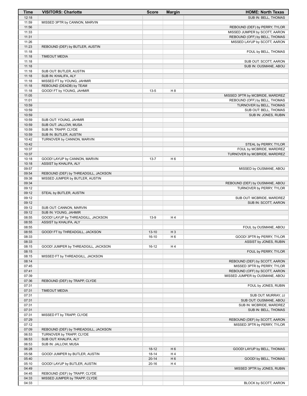| <b>Time</b>    | <b>VISITORS: Charlotte</b>                                     | <b>Score</b> | <b>Margin</b>  | <b>HOME: North Texas</b>                                       |
|----------------|----------------------------------------------------------------|--------------|----------------|----------------------------------------------------------------|
| 12:18          |                                                                |              |                | SUB IN: BELL, THOMAS                                           |
| 11:59          | MISSED 3PTR by CANNON, MARVIN                                  |              |                |                                                                |
| 11:56          |                                                                |              |                | REBOUND (DEF) by PERRY, TYLOR                                  |
| 11:33<br>11:31 |                                                                |              |                | MISSED JUMPER by SCOTT, AARON<br>REBOUND (OFF) by BELL, THOMAS |
| 11:26          |                                                                |              |                | MISSED LAYUP by SCOTT, AARON                                   |
| 11:23          | REBOUND (DEF) by BUTLER, AUSTIN                                |              |                |                                                                |
| 11:18          |                                                                |              |                | FOUL by BELL, THOMAS                                           |
| 11:18          | <b>TIMEOUT MEDIA</b>                                           |              |                |                                                                |
| 11:18          |                                                                |              |                | SUB OUT: SCOTT, AARON                                          |
| 11:18          |                                                                |              |                | SUB IN: OUSMANE, ABOU                                          |
| 11:18<br>11:18 | SUB OUT: BUTLER, AUSTIN<br>SUB IN: KHALIFA, ALY                |              |                |                                                                |
| 11:18          | MISSED FT by YOUNG, JAHMIR                                     |              |                |                                                                |
| 11:18          | REBOUND (DEADB) by TEAM                                        |              |                |                                                                |
| 11:18          | GOOD! FT by YOUNG, JAHMIR                                      | $13 - 5$     | H <sub>8</sub> |                                                                |
| 11:05          |                                                                |              |                | MISSED 3PTR by MCBRIDE, MARDREZ                                |
| 11:01          |                                                                |              |                | REBOUND (OFF) by BELL, THOMAS                                  |
| 10:59          |                                                                |              |                | TURNOVER by BELL, THOMAS                                       |
| 10:59<br>10:59 |                                                                |              |                | SUB OUT: BELL, THOMAS                                          |
| 10:59          | SUB OUT: YOUNG, JAHMIR                                         |              |                | SUB IN: JONES, RUBIN                                           |
| 10:59          | SUB OUT: JALLOW, MUSA                                          |              |                |                                                                |
| 10:59          | SUB IN: TRAPP, CLYDE                                           |              |                |                                                                |
| 10:59          | SUB IN: BUTLER, AUSTIN                                         |              |                |                                                                |
| 10:42          | TURNOVER by CANNON, MARVIN                                     |              |                |                                                                |
| 10:42          |                                                                |              |                | STEAL by PERRY, TYLOR                                          |
| 10:37          |                                                                |              |                | FOUL by MCBRIDE, MARDREZ                                       |
| 10:37          |                                                                |              |                | TURNOVER by MCBRIDE, MARDREZ                                   |
| 10:18          | GOOD! LAYUP by CANNON, MARVIN                                  | $13 - 7$     | H <sub>6</sub> |                                                                |
| 10:18<br>09:57 | ASSIST by KHALIFA, ALY                                         |              |                | MISSED by OUSMANE, ABOU                                        |
| 09:54          | REBOUND (DEF) by THREADGILL, JACKSON                           |              |                |                                                                |
| 09:38          | MISSED JUMPER by BUTLER, AUSTIN                                |              |                |                                                                |
| 09:34          |                                                                |              |                | REBOUND (DEF) by OUSMANE, ABOU                                 |
| 09:12          |                                                                |              |                | TURNOVER by PERRY, TYLOR                                       |
| 09:12          | STEAL by BUTLER, AUSTIN                                        |              |                |                                                                |
| 09:12          |                                                                |              |                | SUB OUT: MCBRIDE, MARDREZ                                      |
| 09:12          |                                                                |              |                | SUB IN: SCOTT, AARON                                           |
| 09:12          | SUB OUT: CANNON, MARVIN                                        |              |                |                                                                |
| 09:12<br>08:55 | SUB IN: YOUNG, JAHMIR<br>GOOD! LAYUP by THREADGILL, JACKSON    | $13-9$       | H 4            |                                                                |
| 08:55          | ASSIST by KHALIFA, ALY                                         |              |                |                                                                |
| 08:55          |                                                                |              |                | FOUL by OUSMANE, ABOU                                          |
| 08:55          | GOOD! FT by THREADGILL, JACKSON                                | $13 - 10$    | H <sub>3</sub> |                                                                |
| 08:33          |                                                                | $16-10$      | H <sub>6</sub> | GOOD! 3PTR by PERRY, TYLOR                                     |
| 08:33          |                                                                |              |                | ASSIST by JONES, RUBIN                                         |
| 08:15          | GOOD! JUMPER by THREADGILL, JACKSON                            | $16-12$      | H4             |                                                                |
| 08:15          |                                                                |              |                | FOUL by PERRY, TYLOR                                           |
| 08:15          | MISSED FT by THREADGILL, JACKSON                               |              |                |                                                                |
| 08:14          |                                                                |              |                | REBOUND (DEF) by SCOTT, AARON                                  |
| 07:45<br>07:41 |                                                                |              |                | MISSED 3PTR by PERRY, TYLOR<br>REBOUND (OFF) by SCOTT, AARON   |
| 07:39          |                                                                |              |                | MISSED JUMPER by OUSMANE, ABOU                                 |
| 07:36          | REBOUND (DEF) by TRAPP, CLYDE                                  |              |                |                                                                |
| 07:31          |                                                                |              |                | FOUL by JONES, RUBIN                                           |
| 07:31          | <b>TIMEOUT MEDIA</b>                                           |              |                |                                                                |
| 07:31          |                                                                |              |                | SUB OUT: MURRAY, JJ                                            |
| 07:31          |                                                                |              |                | SUB OUT: OUSMANE, ABOU                                         |
| 07:31          |                                                                |              |                | SUB IN: MCBRIDE, MARDREZ                                       |
| 07:31          |                                                                |              |                | SUB IN: BELL, THOMAS                                           |
| 07:31<br>07:29 | MISSED FT by TRAPP, CLYDE                                      |              |                | REBOUND (DEF) by SCOTT, AARON                                  |
| 07:12          |                                                                |              |                | MISSED 3PTR by PERRY, TYLOR                                    |
| 07:09          | REBOUND (DEF) by THREADGILL, JACKSON                           |              |                |                                                                |
| 06:53          | TURNOVER by TRAPP, CLYDE                                       |              |                |                                                                |
| 06:53          | SUB OUT: KHALIFA, ALY                                          |              |                |                                                                |
| 06:53          | SUB IN: JALLOW, MUSA                                           |              |                |                                                                |
| 06:28          |                                                                | $18-12$      | H <sub>6</sub> | GOOD! LAYUP by BELL, THOMAS                                    |
| 05:58          | GOOD! JUMPER by BUTLER, AUSTIN                                 | 18-14        | H4             |                                                                |
| 05:40          |                                                                | $20 - 14$    | H <sub>6</sub> | GOOD! by BELL, THOMAS                                          |
| 05:10          | GOOD! LAYUP by BUTLER, AUSTIN                                  | $20 - 16$    | H4             |                                                                |
| 04:49<br>04:45 |                                                                |              |                | MISSED 3PTR by JONES, RUBIN                                    |
| 04:33          | REBOUND (DEF) by TRAPP, CLYDE<br>MISSED JUMPER by TRAPP, CLYDE |              |                |                                                                |
| 04:33          |                                                                |              |                | BLOCK by SCOTT, AARON                                          |
|                |                                                                |              |                |                                                                |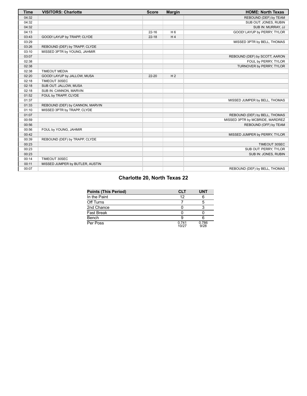| <b>Time</b> | <b>VISITORS: Charlotte</b>      | <b>Score</b> | <b>Margin</b>  | <b>HOME: North Texas</b>        |
|-------------|---------------------------------|--------------|----------------|---------------------------------|
| 04:32       |                                 |              |                | REBOUND (DEF) by TEAM           |
| 04:32       |                                 |              |                | SUB OUT: JONES, RUBIN           |
| 04:32       |                                 |              |                | SUB IN: MURRAY, JJ              |
| 04:13       |                                 | $22 - 16$    | H <sub>6</sub> | GOOD! LAYUP by PERRY, TYLOR     |
| 03:43       | GOOD! LAYUP by TRAPP, CLYDE     | $22 - 18$    | H <sub>4</sub> |                                 |
| 03:29       |                                 |              |                | MISSED 3PTR by BELL, THOMAS     |
| 03:26       | REBOUND (DEF) by TRAPP, CLYDE   |              |                |                                 |
| 03:10       | MISSED 3PTR by YOUNG, JAHMIR    |              |                |                                 |
| 03:07       |                                 |              |                | REBOUND (DEF) by SCOTT, AARON   |
| 02:38       |                                 |              |                | FOUL by PERRY, TYLOR            |
| 02:38       |                                 |              |                | TURNOVER by PERRY, TYLOR        |
| 02:38       | <b>TIMEOUT MEDIA</b>            |              |                |                                 |
| 02:20       | GOOD! LAYUP by JALLOW, MUSA     | 22-20        | H <sub>2</sub> |                                 |
| 02:18       | TIMEOUT 30SEC                   |              |                |                                 |
| 02:18       | SUB OUT: JALLOW, MUSA           |              |                |                                 |
| 02:18       | SUB IN: CANNON, MARVIN          |              |                |                                 |
| 01:52       | FOUL by TRAPP, CLYDE            |              |                |                                 |
| 01:37       |                                 |              |                | MISSED JUMPER by BELL, THOMAS   |
| 01:33       | REBOUND (DEF) by CANNON, MARVIN |              |                |                                 |
| 01:10       | MISSED 3PTR by TRAPP, CLYDE     |              |                |                                 |
| 01:07       |                                 |              |                | REBOUND (DEF) by BELL, THOMAS   |
| 00:59       |                                 |              |                | MISSED 3PTR by MCBRIDE, MARDREZ |
| 00:56       |                                 |              |                | REBOUND (OFF) by TEAM           |
| 00:56       | FOUL by YOUNG, JAHMIR           |              |                |                                 |
| 00:42       |                                 |              |                | MISSED JUMPER by PERRY, TYLOR   |
| 00:39       | REBOUND (DEF) by TRAPP, CLYDE   |              |                |                                 |
| 00:23       |                                 |              |                | TIMEOUT 30SEC                   |
| 00:23       |                                 |              |                | SUB OUT: PERRY, TYLOR           |
| 00:23       |                                 |              |                | SUB IN: JONES, RUBIN            |
| 00:14       | TIMEOUT 30SEC                   |              |                |                                 |
| 00:11       | MISSED JUMPER by BUTLER, AUSTIN |              |                |                                 |
| 00:07       |                                 |              |                | REBOUND (DEF) by BELL, THOMAS   |

# **Charlotte 20, North Texas 22**

| <b>Points (This Period)</b> | <b>CLT</b>     | <b>UNT</b>    |
|-----------------------------|----------------|---------------|
| In the Paint                | 12             |               |
| Off Turns                   |                |               |
| 2nd Chance                  |                |               |
| <b>Fast Break</b>           |                |               |
| Bench                       |                |               |
| Per Poss                    | 0.741<br>10/27 | 0.786<br>9/28 |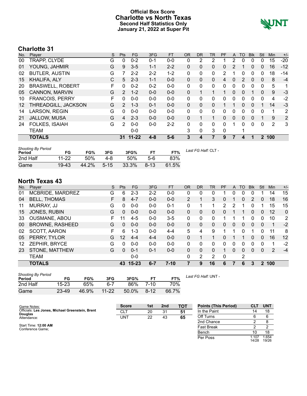### **Official Box Score Charlotte vs North Texas Second Half Statistics Only January 21, 2022 at Super Pit**



# **Charlotte 31**

| No.               | Player                  | S | <b>Pts</b>    | <b>FG</b> | 3FG     | <b>FT</b> | <b>OR</b>    | DR. | TR           | PF          | A | TO | <b>Blk</b> | Stl | <b>Min</b> | $+/-$          |
|-------------------|-------------------------|---|---------------|-----------|---------|-----------|--------------|-----|--------------|-------------|---|----|------------|-----|------------|----------------|
| 00                | TRAPP, CLYDE            | G | 0             | $0 - 2$   | $0 - 1$ | $0 - 0$   | 0            | 2   | 2            |             | 2 | 0  | 0          | 0   | 15         | $-20$          |
| 01                | YOUNG, JAHMIR           | G | 9             | $3 - 5$   | $1 - 1$ | $2 - 2$   | $\Omega$     | 0   | 0            | 0           | 2 |    | 0          | 0   | 16         | $-12$          |
| 02                | <b>BUTLER, AUSTIN</b>   | G |               | $2 - 2$   | $2 - 2$ | $1 - 2$   | $\mathbf{0}$ | 0   | 0            | 2           |   | 0  | 0          | 0   | 18         | $-14$          |
| 15                | KHALIFA, ALY            | С | 5             | $2 - 3$   | $1 - 1$ | $0 - 0$   | $\Omega$     | 0   | $\mathbf{0}$ | 4           | 0 | 2  | 0          | 0   | 8          | $-4$           |
| 20                | <b>BRASWELL, ROBERT</b> | F | 0             | $0 - 2$   | $0 - 2$ | $0 - 0$   | $\mathbf{0}$ | 0   | 0            | $\Omega$    | 0 | 0  | 0          | 0   | 5          | 1              |
| 05                | CANNON, MARVIN          | G | 2             | $1 - 2$   | $0 - 0$ | $0 - 0$   | $\Omega$     |     |              |             | 0 | 0  |            | 0   | 9          | $-3$           |
| 10                | <b>FRANCOIS, PERRY</b>  | F | 0             | $0 - 0$   | $0 - 0$ | $0 - 0$   | $\Omega$     | 0   | 0            | 0           | 0 | 0  | 0          | 0   | 4          | -2             |
| $12 \overline{ }$ | THREADGILL, JACKSON     | G | $\mathcal{P}$ | $1 - 3$   | $0 - 1$ | $0 - 0$   | $\mathbf{0}$ | 0   | 0            |             | 1 | 0  | $\Omega$   |     | 14         | $-3$           |
| 14                | LARSON, REGIN           | G | 0             | $0 - 0$   | $0 - 0$ | $0 - 0$   | $\mathbf{0}$ | 0   | 0            | 0           | 0 | 0  | 0          | 0   | 1          | 2              |
| 21                | JALLOW, MUSA            | G | 4             | $2 - 3$   | $0 - 0$ | $0 - 0$   | $\Omega$     |     |              | $\Omega$    | 0 | 0  | 0          |     | 9          | $\overline{2}$ |
| 24                | <b>FOLKES, ISAIAH</b>   | G | $\mathcal{P}$ | $0 - 0$   | $0 - 0$ | $2 - 2$   | $\Omega$     | 0   | $\Omega$     | $\Omega$    | 1 | 0  | $\Omega$   | 0   | 2          | 3              |
|                   | <b>TEAM</b>             |   |               | $0 - 0$   |         |           | 3            | 0   | 3            | $\mathbf 0$ |   |    |            |     |            |                |
|                   | <b>TOTALS</b>           |   | 31            | $11 - 22$ | $4 - 8$ | $5-6$     | 3            | 4   |              | 9           | 7 | 4  |            |     | 2 100      |                |

| <b>Shooting By Period</b><br>Period | FG        | FG%   | 3FG      | 3FG%  |          | FT%   | Last FG Half: CLT - |
|-------------------------------------|-----------|-------|----------|-------|----------|-------|---------------------|
| 2nd Half                            | $11 - 22$ | 50%   | 4-8      | 50%   | 5-6      | 83%   |                     |
| Game                                | 19-43     | 44.2% | $5 - 15$ | 33.3% | $8 - 13$ | 61.5% |                     |

# **North Texas 43**

| No. | Player                 | S  | <b>Pts</b> | FG        | 3FG     | <b>FT</b> | <b>OR</b> | <b>DR</b> | <b>TR</b> | PF       | A | <b>TO</b> | <b>B</b> lk | Stl            | Min | $+/-$ |
|-----|------------------------|----|------------|-----------|---------|-----------|-----------|-----------|-----------|----------|---|-----------|-------------|----------------|-----|-------|
| 01  | MCBRIDE, MARDREZ       | G  | 6          | $2 - 3$   | $2 - 2$ | $0-0$     | 0         | 0         | 0         |          | 0 | 0         | 0           |                | 14  | 15    |
| 04  | <b>BELL, THOMAS</b>    | F. | 8          | $4 - 7$   | $0 - 0$ | $0 - 0$   | 2         |           | 3         | 0        |   | 0         | 2           | $\mathbf{0}$   | 18  | 16    |
| 11  | MURRAY, JJ             | G  | 0          | $0 - 0$   | $0 - 0$ | $0 - 1$   | 0         | 1         |           | 2        | 2 |           | 0           | 1              | 15  | 15    |
| 15  | JONES, RUBIN           | G  | 0          | $0 - 0$   | $0 - 0$ | $0 - 0$   | 0         | 0         | 0         | 0        |   |           | 0           | $\mathbf{0}$   | 12  | 0     |
| 33  | <b>OUSMANE, ABOU</b>   | F. | 11         | $4 - 5$   | $0 - 0$ | $3 - 5$   | 0         | 0         | $\Omega$  |          |   |           | 0           | 0              | 10  | 2     |
| 00  | <b>BROWNE, RASHEED</b> | G  | $\Omega$   | $0 - 0$   | $0 - 0$ | $0 - 0$   | $\Omega$  | 0         | $\Omega$  | $\Omega$ | 0 | $\Omega$  | $\Omega$    | 0              | 1   | $-2$  |
| 02  | <b>SCOTT, AARON</b>    | F. | 6          | $1 - 3$   | $0 - 0$ | $4 - 4$   | 5         | 4         | 9         |          |   | 0         |             | 0              | 11  | 8     |
| 05  | PERRY, TYLOR           | G  | 12         | $4 - 4$   | $4 - 4$ | $0 - 0$   | $\Omega$  | 1         |           | $\Omega$ |   |           | 0           | 0              | 16  | 12    |
| 12  | ZEPHIR, BRYCE          | G  | 0          | $0 - 0$   | $0 - 0$ | $0 - 0$   | $\Omega$  | 0         | 0         | 0        | 0 | 0         | 0           | $\Omega$       | 1   | $-2$  |
| 23  | STONE, MATTHEW         | G  | $\Omega$   | $0 - 1$   | $0 - 1$ | $0 - 0$   | 0         | 0         | 0         | 1        | 0 | $\Omega$  | $\Omega$    | $\mathbf{0}$   | 2   | $-4$  |
|     | <b>TEAM</b>            |    |            | $0 - 0$   |         |           | 0         | 2         | 2         | 0        |   | 2         |             |                |     |       |
|     | <b>TOTALS</b>          |    | 43         | $15 - 23$ | $6 - 7$ | $7-10$    | 7         | 9         | 16        | 6        | 7 | 6         | 3           | $\overline{2}$ | 100 |       |

| <b>Shooting By Period</b><br>Period | FG    | FG%   | 3FG       | 3FG%  |          | FT%   |
|-------------------------------------|-------|-------|-----------|-------|----------|-------|
| 2nd Half                            | 15-23 | 65%   | հ-7       | 86%   | 7-10     | 70%   |
| Game                                | 23-49 | 46.9% | $11 - 22$ | 50.0% | $8 - 12$ | 66.7% |

*Last FG Half:* UNT -

| Game Notes:                                                | <b>Score</b> | 1st | 2 <sub>nd</sub> | TOT | <b>Points (This Period)</b> | CLI            | <b>UNT</b>     |
|------------------------------------------------------------|--------------|-----|-----------------|-----|-----------------------------|----------------|----------------|
| Officials: Les Jones, Michael Greenstein, Brent<br>Douglas | CLT          | 20  | 31              | 51  | In the Paint                |                | 18             |
| Attendance:                                                | UNT          | 22  | 43              | 65  | Off Turns                   |                |                |
|                                                            |              |     |                 |     | 2nd Chance                  |                |                |
| Start Time: 12:00 AM<br>Conference Game:                   |              |     |                 |     | Fast Break                  |                |                |
|                                                            |              |     |                 |     | Bench                       |                | 18             |
|                                                            |              |     |                 |     | Per Poss                    | 1.107<br>14/28 | 1.654<br>19/26 |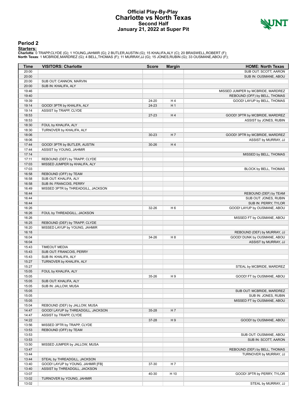#### **Official Play-By-Play Charlotte vs North Texas Second Half January 21, 2022 at Super Pit**



#### **Period 2**

<mark>Startersː</mark><br>Charlotte: 0 TRAPP,CLYDE (G); 1 YOUNG,JAHMIR (G); 2 BUTLER,AUSTIN (G); 15 KHALIFA,ALY (C); 20 BRASWELL,ROBERT (F);<br>**North Texas**: 1 MCBRIDE,MARDREZ (G); 4 BELL,THOMAS (F); 11 MURRAY,JJ (G); 15 JONES,RUBIN (G);

| Time           | <b>VISITORS: Charlotte</b>                                   | <b>Score</b> | <b>Margin</b>  | <b>HOME: North Texas</b>                       |
|----------------|--------------------------------------------------------------|--------------|----------------|------------------------------------------------|
| 20:00          |                                                              |              |                | SUB OUT: SCOTT, AARON                          |
| 20:00          |                                                              |              |                | SUB IN: OUSMANE, ABOU                          |
| 20:00          | SUB OUT: CANNON, MARVIN                                      |              |                |                                                |
| 20:00          | SUB IN: KHALIFA, ALY                                         |              |                |                                                |
| 19:46          |                                                              |              |                | MISSED JUMPER by MCBRIDE, MARDREZ              |
| 19:40          |                                                              |              |                | REBOUND (OFF) by BELL, THOMAS                  |
| 19:39          |                                                              | 24-20        | H4             | GOOD! LAYUP by BELL, THOMAS                    |
| 19:14          | GOOD! 3PTR by KHALIFA, ALY                                   | 24-23        | H <sub>1</sub> |                                                |
| 19:14          | ASSIST by TRAPP, CLYDE                                       |              |                |                                                |
| 18:53          |                                                              | 27-23        | H4             | GOOD! 3PTR by MCBRIDE, MARDREZ                 |
| 18:53          |                                                              |              |                | ASSIST by JONES, RUBIN                         |
| 18:30          | FOUL by KHALIFA, ALY                                         |              |                |                                                |
| 18:30          | TURNOVER by KHALIFA, ALY                                     |              |                |                                                |
| 18:06          |                                                              | $30 - 23$    | H <sub>7</sub> | GOOD! 3PTR by MCBRIDE, MARDREZ                 |
| 18:06          |                                                              |              |                | ASSIST by MURRAY, JJ                           |
| 17:44          | GOOD! 3PTR by BUTLER, AUSTIN                                 | 30-26        | H4             |                                                |
| 17:44          | ASSIST by YOUNG, JAHMIR                                      |              |                |                                                |
| 17:14          |                                                              |              |                | MISSED by BELL, THOMAS                         |
| 17:11          | REBOUND (DEF) by TRAPP, CLYDE                                |              |                |                                                |
| 17:03          | MISSED JUMPER by KHALIFA, ALY                                |              |                |                                                |
| 17:03          |                                                              |              |                | BLOCK by BELL, THOMAS                          |
| 16:58          | REBOUND (OFF) by TEAM                                        |              |                |                                                |
| 16:58          | SUB OUT: KHALIFA, ALY                                        |              |                |                                                |
| 16:58          | SUB IN: FRANCOIS, PERRY                                      |              |                |                                                |
| 16:49          | MISSED 3PTR by THREADGILL, JACKSON                           |              |                |                                                |
| 16:44          |                                                              |              |                | REBOUND (DEF) by TEAM                          |
| 16:44          |                                                              |              |                | SUB OUT: JONES, RUBIN                          |
| 16:44          |                                                              |              |                | SUB IN: PERRY, TYLOR                           |
| 16:26          |                                                              | 32-26        | H <sub>6</sub> | GOOD! LAYUP by OUSMANE, ABOU                   |
| 16:26          | FOUL by THREADGILL, JACKSON                                  |              |                |                                                |
| 16:26          |                                                              |              |                | MISSED FT by OUSMANE, ABOU                     |
| 16:25          | REBOUND (DEF) by TRAPP, CLYDE                                |              |                |                                                |
| 16:20          | MISSED LAYUP by YOUNG, JAHMIR                                |              |                |                                                |
| 16:18          |                                                              |              |                | REBOUND (DEF) by MURRAY, JJ                    |
| 16:04          |                                                              | 34-26        | H <sub>8</sub> | GOOD! DUNK by OUSMANE, ABOU                    |
| 16:04          |                                                              |              |                | ASSIST by MURRAY, JJ                           |
| 15:43          | <b>TIMEOUT MEDIA</b>                                         |              |                |                                                |
| 15:43          | SUB OUT: FRANCOIS, PERRY                                     |              |                |                                                |
| 15:43          | SUB IN: KHALIFA, ALY                                         |              |                |                                                |
| 15:27          | TURNOVER by KHALIFA, ALY                                     |              |                |                                                |
| 15:27          |                                                              |              |                | STEAL by MCBRIDE, MARDREZ                      |
| 15:05          | FOUL by KHALIFA, ALY                                         |              |                |                                                |
| 15:05          |                                                              | 35-26        | H9             | GOOD! FT by OUSMANE, ABOU                      |
| 15:05          | SUB OUT: KHALIFA, ALY                                        |              |                |                                                |
| 15:05          | SUB IN: JALLOW, MUSA                                         |              |                |                                                |
| 15:05          |                                                              |              |                | SUB OUT: MCBRIDE, MARDREZ                      |
| 15:05          |                                                              |              |                | SUB IN: JONES, RUBIN                           |
| 15:05          |                                                              |              |                | MISSED FT by OUSMANE, ABOU                     |
| 15:04          | REBOUND (DEF) by JALLOW, MUSA                                |              |                |                                                |
| 14:47<br>14:47 | GOOD! LAYUP by THREADGILL, JACKSON<br>ASSIST by TRAPP, CLYDE | 35-28        | H 7            |                                                |
| 14:22          |                                                              |              | H9             | GOOD! by OUSMANE, ABOU                         |
| 13:56          |                                                              | 37-28        |                |                                                |
| 13:53          | MISSED 3PTR by TRAPP, CLYDE<br>REBOUND (OFF) by TEAM         |              |                |                                                |
| 13:53          |                                                              |              |                |                                                |
| 13:53          |                                                              |              |                | SUB OUT: OUSMANE, ABOU<br>SUB IN: SCOTT, AARON |
| 13:50          | MISSED JUMPER by JALLOW, MUSA                                |              |                |                                                |
| 13:47          |                                                              |              |                | REBOUND (DEF) by BELL, THOMAS                  |
|                |                                                              |              |                |                                                |
| 13:44<br>13:44 | STEAL by THREADGILL, JACKSON                                 |              |                | TURNOVER by MURRAY, JJ                         |
| 13:40          | GOOD! LAYUP by YOUNG, JAHMIR [FB]                            | 37-30        | H 7            |                                                |
| 13:40          | ASSIST by THREADGILL, JACKSON                                |              |                |                                                |
| 13:07          |                                                              | 40-30        | H 10           | GOOD! 3PTR by PERRY, TYLOR                     |
| 13:02          | TURNOVER by YOUNG, JAHMIR                                    |              |                |                                                |
| 13:02          |                                                              |              |                | STEAL by MURRAY, JJ                            |
|                |                                                              |              |                |                                                |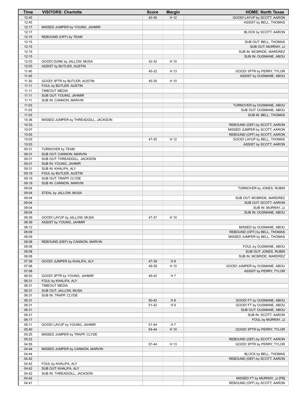| Time           | <b>VISITORS: Charlotte</b>                          | <b>Score</b> | <b>Margin</b>  | <b>HOME: North Texas</b>                        |
|----------------|-----------------------------------------------------|--------------|----------------|-------------------------------------------------|
| 12:45          |                                                     | 42-30        | H 12           | GOOD! LAYUP by SCOTT, AARON                     |
| 12:45          |                                                     |              |                | ASSIST by BELL, THOMAS                          |
| 12:17          | MISSED JUMPER by YOUNG, JAHMIR                      |              |                |                                                 |
| 12:17          |                                                     |              |                | BLOCK by SCOTT, AARON                           |
| 12:15          | REBOUND (OFF) by TEAM                               |              |                |                                                 |
| 12:15<br>12:15 |                                                     |              |                | SUB OUT: BELL, THOMAS                           |
| 12:15          |                                                     |              |                | SUB OUT: MURRAY, JJ<br>SUB IN: MCBRIDE, MARDREZ |
| 12:15          |                                                     |              |                | SUB IN: OUSMANE, ABOU                           |
| 12:03          | GOOD! DUNK by JALLOW, MUSA                          | 42-32        | H 10           |                                                 |
| 12:03          | ASSIST by BUTLER, AUSTIN                            |              |                |                                                 |
| 11:45          |                                                     | 45-32        | H 13           | GOOD! 3PTR by PERRY, TYLOR                      |
| 11:45          |                                                     |              |                | ASSIST by OUSMANE, ABOU                         |
| 11:30          | GOOD! 3PTR by BUTLER, AUSTIN                        | 45-35        | H 10           |                                                 |
| 11:11          | FOUL by BUTLER, AUSTIN                              |              |                |                                                 |
| 11:11          | <b>TIMEOUT MEDIA</b>                                |              |                |                                                 |
| 11:11          | SUB OUT: YOUNG, JAHMIR                              |              |                |                                                 |
| 11:11          | SUB IN: CANNON, MARVIN                              |              |                |                                                 |
| 11:03          |                                                     |              |                | TURNOVER by OUSMANE, ABOU                       |
| 11:03          |                                                     |              |                | SUB OUT: OUSMANE, ABOU                          |
| 11:03          |                                                     |              |                | SUB IN: BELL, THOMAS                            |
| 10:36<br>10:33 | MISSED JUMPER by THREADGILL, JACKSON                |              |                | REBOUND (DEF) by SCOTT, AARON                   |
| 10:07          |                                                     |              |                | MISSED JUMPER by SCOTT, AARON                   |
| 10:05          |                                                     |              |                | REBOUND (OFF) by SCOTT, AARON                   |
| 10:03          |                                                     | 47-35        | H 12           | GOOD! LAYUP by BELL, THOMAS                     |
| 10:03          |                                                     |              |                | ASSIST by SCOTT, AARON                          |
| 09:31          | TURNOVER by TEAM                                    |              |                |                                                 |
| 09:31          | SUB OUT: CANNON, MARVIN                             |              |                |                                                 |
| 09:31          | SUB OUT: THREADGILL, JACKSON                        |              |                |                                                 |
| 09:31          | SUB IN: YOUNG, JAHMIR                               |              |                |                                                 |
| 09:31          | SUB IN: KHALIFA, ALY                                |              |                |                                                 |
| 09:19          | FOUL by BUTLER, AUSTIN                              |              |                |                                                 |
| 09:19          | SUB OUT: TRAPP, CLYDE                               |              |                |                                                 |
| 09:19          | SUB IN: CANNON, MARVIN                              |              |                |                                                 |
| 09:04          |                                                     |              |                | TURNOVER by JONES, RUBIN                        |
| 09:04          | STEAL by JALLOW, MUSA                               |              |                |                                                 |
| 09:04          |                                                     |              |                | SUB OUT: MCBRIDE, MARDREZ                       |
| 09:04<br>09:04 |                                                     |              |                | SUB OUT: SCOTT, AARON<br>SUB IN: MURRAY, JJ     |
| 09:04          |                                                     |              |                | SUB IN: OUSMANE, ABOU                           |
| 08:39          | GOOD! LAYUP by JALLOW, MUSA                         | 47-37        | H 10           |                                                 |
| 08:39          | ASSIST by YOUNG, JAHMIR                             |              |                |                                                 |
| 08:12          |                                                     |              |                | MISSED by OUSMANE, ABOU                         |
| 08:09          |                                                     |              |                | REBOUND (OFF) by BELL, THOMAS                   |
| 08:09          |                                                     |              |                | MISSED JUMPER by BELL, THOMAS                   |
| 08:08          | REBOUND (DEF) by CANNON, MARVIN                     |              |                |                                                 |
| 08:08          |                                                     |              |                | FOUL by OUSMANE, ABOU                           |
| 08:08          |                                                     |              |                | SUB OUT: JONES, RUBIN                           |
| 08:08          |                                                     |              |                | SUB IN: MCBRIDE, MARDREZ                        |
| 07:39          | GOOD! JUMPER by KHALIFA, ALY                        | 47-39        | H <sub>8</sub> |                                                 |
| 07:08          |                                                     | 49-39        | H 10           | GOOD! JUMPER by OUSMANE, ABOU                   |
| 07:08          |                                                     |              |                | ASSIST by PERRY, TYLOR                          |
| 06:53<br>06:31 | GOOD! 3PTR by YOUNG, JAHMIR<br>FOUL by KHALIFA, ALY | 49-42        | H7             |                                                 |
| 06:31          | <b>TIMEOUT MEDIA</b>                                |              |                |                                                 |
| 06:31          | SUB OUT: JALLOW, MUSA                               |              |                |                                                 |
| 06:31          | SUB IN: TRAPP, CLYDE                                |              |                |                                                 |
| 06:31          |                                                     | 50-42        | H <sub>8</sub> | GOOD! FT by OUSMANE, ABOU                       |
| 06:31          |                                                     | 51-42        | H9             | GOOD! FT by OUSMANE, ABOU                       |
| 06:31          |                                                     |              |                | SUB OUT: OUSMANE, ABOU                          |
| 06:31          |                                                     |              |                | SUB IN: SCOTT, AARON                            |
| 06:17          |                                                     |              |                | FOUL by MURRAY, JJ                              |
| 06:11          | GOOD! LAYUP by YOUNG, JAHMIR                        | 51-44        | H7             |                                                 |
| 05:40          |                                                     | 54-44        | H 10           | GOOD! 3PTR by PERRY, TYLOR                      |
| 05:25          | MISSED JUMPER by TRAPP, CLYDE                       |              |                |                                                 |
| 05:22          |                                                     |              |                | REBOUND (DEF) by SCOTT, AARON                   |
| 04:55          |                                                     | 57-44        | H 13           | GOOD! 3PTR by PERRY, TYLOR                      |
| 04:44          | MISSED JUMPER by CANNON, MARVIN                     |              |                |                                                 |
| 04:44          |                                                     |              |                | BLOCK by BELL, THOMAS                           |
| 04:42          |                                                     |              |                | REBOUND (DEF) by SCOTT, AARON                   |
| 04:42<br>04:42 | FOUL by KHALIFA, ALY<br>SUB OUT: KHALIFA, ALY       |              |                |                                                 |
| 04:42          | SUB IN: THREADGILL, JACKSON                         |              |                |                                                 |
| 04:42          |                                                     |              |                | MISSED FT by MURRAY, JJ [FB]                    |
| 04:41          |                                                     |              |                | REBOUND (OFF) by SCOTT, AARON                   |
|                |                                                     |              |                |                                                 |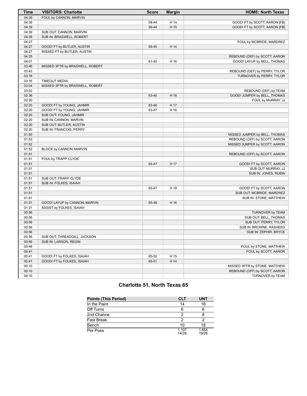| <b>Time</b> | <b>VISITORS: Charlotte</b>      | <b>Score</b> | <b>Margin</b> | <b>HOME: North Texas</b>      |
|-------------|---------------------------------|--------------|---------------|-------------------------------|
| 04:39       | FOUL by CANNON, MARVIN          |              |               |                               |
| 04:39       |                                 | 58-44        | H 14          | GOOD! FT by SCOTT, AARON [FB] |
| 04:39       |                                 | 59-44        | H 15          | GOOD! FT by SCOTT, AARON [FB] |
| 04:39       | SUB OUT: CANNON, MARVIN         |              |               |                               |
| 04:39       | SUB IN: BRASWELL, ROBERT        |              |               |                               |
| 04:27       |                                 |              |               | FOUL by MCBRIDE, MARDREZ      |
| 04:27       | GOOD! FT by BUTLER, AUSTIN      | 59-45        | H 14          |                               |
| 04:27       | MISSED FT by BUTLER, AUSTIN     |              |               |                               |
| 04:25       |                                 |              |               | REBOUND (DEF) by SCOTT, AARON |
| 04:01       |                                 | 61-45        | H 16          | GOOD! LAYUP by BELL, THOMAS   |
| 03:46       | MISSED 3PTR by BRASWELL, ROBERT |              |               |                               |
| 03:43       |                                 |              |               | REBOUND (DEF) by PERRY, TYLOR |
| 03:16       |                                 |              |               | TURNOVER by PERRY, TYLOR      |
| 03:16       | <b>TIMEOUT MEDIA</b>            |              |               |                               |
| 03:04       | MISSED 3PTR by BRASWELL, ROBERT |              |               |                               |
| 03:02       |                                 |              |               | REBOUND (DEF) by TEAM         |
| 02:36       |                                 | 63-45        | H 18          | GOOD! JUMPER by BELL, THOMAS  |
| 02:20       |                                 |              |               | FOUL by MURRAY, JJ            |
| 02:20       | GOOD! FT by YOUNG, JAHMIR       | 63-46        | H 17          |                               |
| 02:20       | GOOD! FT by YOUNG, JAHMIR       | 63-47        | H 16          |                               |
| 02:20       | SUB OUT: YOUNG, JAHMIR          |              |               |                               |
| 02:20       | SUB IN: CANNON, MARVIN          |              |               |                               |
| 02:20       | SUB OUT: BUTLER, AUSTIN         |              |               |                               |
| 02:20       | SUB IN: FRANCOIS, PERRY         |              |               |                               |
| 01:55       |                                 |              |               | MISSED JUMPER by BELL, THOMAS |
| 01:53       |                                 |              |               | REBOUND (OFF) by SCOTT, AARON |
| 01:52       |                                 |              |               | MISSED JUMPER by SCOTT, AARON |
| 01:52       | BLOCK by CANNON, MARVIN         |              |               |                               |
| 01:51       |                                 |              |               | REBOUND (OFF) by SCOTT, AARON |
| 01:51       | FOUL by TRAPP, CLYDE            |              |               |                               |
| 01:51       |                                 | 64-47        | H 17          | GOOD! FT by SCOTT, AARON      |
| 01:51       |                                 |              |               | SUB OUT: MURRAY, JJ           |
| 01:51       |                                 |              |               | SUB IN: JONES, RUBIN          |
| 01:51       | SUB OUT: TRAPP, CLYDE           |              |               |                               |
| 01:51       | SUB IN: FOLKES, ISAIAH          |              |               |                               |
| 01:51       |                                 | 65-47        | H 18          | GOOD! FT by SCOTT, AARON      |
| 01:51       |                                 |              |               | SUB OUT: MCBRIDE, MARDREZ     |
| 01:51       |                                 |              |               | SUB IN: STONE, MATTHEW        |
| 01:31       | GOOD! LAYUP by CANNON, MARVIN   | 65-49        | H 16          |                               |
| 01:31       | ASSIST by FOLKES, ISAIAH        |              |               |                               |
| 00:56       |                                 |              |               | TURNOVER by TEAM              |
| 00:56       |                                 |              |               | SUB OUT: BELL, THOMAS         |
| 00:56       |                                 |              |               | SUB OUT: PERRY, TYLOR         |
| 00:56       |                                 |              |               | SUB IN: BROWNE, RASHEED       |
| 00:56       |                                 |              |               | SUB IN: ZEPHIR, BRYCE         |
| 00:56       | SUB OUT: THREADGILL, JACKSON    |              |               |                               |
| 00:56       | SUB IN: LARSON, REGIN           |              |               |                               |
| 00:48       |                                 |              |               | FOUL by STONE, MATTHEW        |
| 00:41       |                                 |              |               | FOUL by SCOTT, AARON          |
| 00:41       | GOOD! FT by FOLKES, ISAIAH      | 65-50        | H 15          |                               |
| 00:41       | GOOD! FT by FOLKES, ISAIAH      | 65-51        | H 14          |                               |
| 00:10       |                                 |              |               | MISSED 3PTR by STONE, MATTHEW |
| 00:10       |                                 |              |               | REBOUND (OFF) by SCOTT, AARON |
| 00:10       |                                 |              |               | TURNOVER by TEAM              |

# **Charlotte 51, North Texas 65**

| <b>Points (This Period)</b> | <b>CLT</b>     | <b>UNT</b>     |
|-----------------------------|----------------|----------------|
| In the Paint                | 14             | 18             |
| Off Turns                   | 6              |                |
| 2nd Chance                  | 2              |                |
| <b>Fast Break</b>           | 2              |                |
| Bench                       | 10             | 18             |
| Per Poss                    | 1.107<br>14/28 | 1.654<br>19/26 |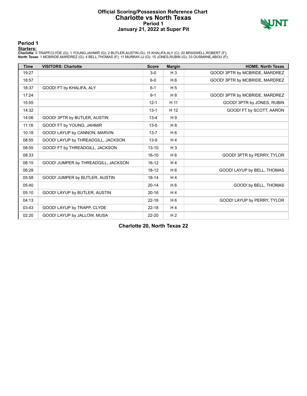#### **Official Scoring/Possession Reference Chart Charlotte vs North Texas Period 1 January 21, 2022 at Super Pit**



#### **Period 1**

<mark>Startersː</mark><br>Charlotte: 0 TRAPP,CLYDE (G); 1 YOUNG,JAHMIR (G); 2 BUTLER,AUSTIN (G); 15 KHALIFA,ALY (C); 20 BRASWELL,ROBERT (F);<br>**North Texas**: 1 MCBRIDE,MARDREZ (G); 4 BELL,THOMAS (F); 11 MURRAY,JJ (G); 15 JONES,RUBIN (G);

| <b>Time</b> | <b>VISITORS: Charlotte</b>          | <b>Score</b> | <b>Margin</b>  | <b>HOME: North Texas</b>       |
|-------------|-------------------------------------|--------------|----------------|--------------------------------|
| 19:27       |                                     | $3-0$        | $H_3$          | GOOD! 3PTR by MCBRIDE, MARDREZ |
| 18:57       |                                     | $6-0$        | H <sub>6</sub> | GOOD! 3PTR by MCBRIDE, MARDREZ |
| 18:37       | GOOD! FT by KHALIFA, ALY            | $6 - 1$      | H <sub>5</sub> |                                |
| 17:24       |                                     | $9 - 1$      | H8             | GOOD! 3PTR by MCBRIDE, MARDREZ |
| 15:55       |                                     | $12 - 1$     | H 11           | GOOD! 3PTR by JONES, RUBIN     |
| 14:32       |                                     | $13 - 1$     | H 12           | GOOD! FT by SCOTT, AARON       |
| 14:06       | GOOD! 3PTR by BUTLER, AUSTIN        | $13 - 4$     | H9             |                                |
| 11:18       | GOOD! FT by YOUNG, JAHMIR           | $13 - 5$     | H 8            |                                |
| 10:18       | GOOD! LAYUP by CANNON, MARVIN       | $13 - 7$     | H <sub>6</sub> |                                |
| 08:55       | GOOD! LAYUP by THREADGILL, JACKSON  | $13-9$       | H4             |                                |
| 08:55       | GOOD! FT by THREADGILL, JACKSON     | $13 - 10$    | $H_3$          |                                |
| 08:33       |                                     | $16 - 10$    | H <sub>6</sub> | GOOD! 3PTR by PERRY, TYLOR     |
| 08:15       | GOOD! JUMPER by THREADGILL, JACKSON | $16 - 12$    | H <sub>4</sub> |                                |
| 06:28       |                                     | $18 - 12$    | H <sub>6</sub> | GOOD! LAYUP by BELL, THOMAS    |
| 05:58       | GOOD! JUMPER by BUTLER, AUSTIN      | $18-14$      | H <sub>4</sub> |                                |
| 05:40       |                                     | $20 - 14$    | H <sub>6</sub> | GOOD! by BELL, THOMAS          |
| 05:10       | GOOD! LAYUP by BUTLER, AUSTIN       | $20 - 16$    | H <sub>4</sub> |                                |
| 04:13       |                                     | $22 - 16$    | H <sub>6</sub> | GOOD! LAYUP by PERRY, TYLOR    |
| 03:43       | GOOD! LAYUP by TRAPP, CLYDE         | $22 - 18$    | H <sub>4</sub> |                                |
| 02:20       | GOOD! LAYUP by JALLOW, MUSA         | $22 - 20$    | H <sub>2</sub> |                                |

**Charlotte 20, North Texas 22**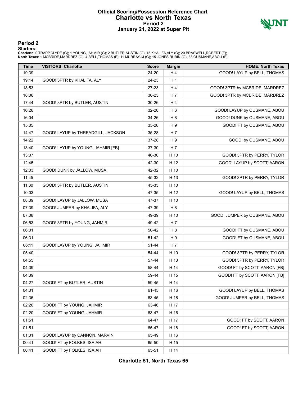### **Official Scoring/Possession Reference Chart Charlotte vs North Texas Period 2 January 21, 2022 at Super Pit**



#### **Period 2**

<mark>Startersː</mark><br>Charlotte: 0 TRAPP,CLYDE (G); 1 YOUNG,JAHMIR (G); 2 BUTLER,AUSTIN (G); 15 KHALIFA,ALY (C); 20 BRASWELL,ROBERT (F);<br>**North Texas**: 1 MCBRIDE,MARDREZ (G); 4 BELL,THOMAS (F); 11 MURRAY,JJ (G); 15 JONES,RUBIN (G);

| <b>Time</b> | <b>VISITORS: Charlotte</b>         | <b>Score</b> | <b>Margin</b>  | <b>HOME: North Texas</b>       |
|-------------|------------------------------------|--------------|----------------|--------------------------------|
| 19:39       |                                    | 24-20        | H4             | GOOD! LAYUP by BELL, THOMAS    |
| 19:14       | GOOD! 3PTR by KHALIFA, ALY         | 24-23        | H <sub>1</sub> |                                |
| 18:53       |                                    | 27-23        | H4             | GOOD! 3PTR by MCBRIDE, MARDREZ |
| 18:06       |                                    | 30-23        | H 7            | GOOD! 3PTR by MCBRIDE, MARDREZ |
| 17:44       | GOOD! 3PTR by BUTLER, AUSTIN       | 30-26        | H <sub>4</sub> |                                |
| 16:26       |                                    | 32-26        | H <sub>6</sub> | GOOD! LAYUP by OUSMANE, ABOU   |
| 16:04       |                                    | 34-26        | H <sub>8</sub> | GOOD! DUNK by OUSMANE, ABOU    |
| 15:05       |                                    | 35-26        | H <sub>9</sub> | GOOD! FT by OUSMANE, ABOU      |
| 14:47       | GOOD! LAYUP by THREADGILL, JACKSON | 35-28        | H <sub>7</sub> |                                |
| 14:22       |                                    | 37-28        | H9             | GOOD! by OUSMANE, ABOU         |
| 13:40       | GOOD! LAYUP by YOUNG, JAHMIR [FB]  | 37-30        | H <sub>7</sub> |                                |
| 13:07       |                                    | 40-30        | H 10           | GOOD! 3PTR by PERRY, TYLOR     |
| 12:45       |                                    | 42-30        | H 12           | GOOD! LAYUP by SCOTT, AARON    |
| 12:03       | GOOD! DUNK by JALLOW, MUSA         | 42-32        | H 10           |                                |
| 11:45       |                                    | 45-32        | H 13           | GOOD! 3PTR by PERRY, TYLOR     |
| 11:30       | GOOD! 3PTR by BUTLER, AUSTIN       | 45-35        | H 10           |                                |
| 10:03       |                                    | 47-35        | H 12           | GOOD! LAYUP by BELL, THOMAS    |
| 08:39       | GOOD! LAYUP by JALLOW, MUSA        | 47-37        | H 10           |                                |
| 07:39       | GOOD! JUMPER by KHALIFA, ALY       | 47-39        | H <sub>8</sub> |                                |
| 07:08       |                                    | 49-39        | H 10           | GOOD! JUMPER by OUSMANE, ABOU  |
| 06:53       | GOOD! 3PTR by YOUNG, JAHMIR        | 49-42        | H <sub>7</sub> |                                |
| 06:31       |                                    | 50-42        | H <sub>8</sub> | GOOD! FT by OUSMANE, ABOU      |
| 06:31       |                                    | 51-42        | H 9            | GOOD! FT by OUSMANE, ABOU      |
| 06:11       | GOOD! LAYUP by YOUNG, JAHMIR       | 51-44        | H 7            |                                |
| 05:40       |                                    | 54-44        | H 10           | GOOD! 3PTR by PERRY, TYLOR     |
| 04:55       |                                    | 57-44        | H 13           | GOOD! 3PTR by PERRY, TYLOR     |
| 04:39       |                                    | 58-44        | H 14           | GOOD! FT by SCOTT, AARON [FB]  |
| 04:39       |                                    | 59-44        | H 15           | GOOD! FT by SCOTT, AARON [FB]  |
| 04:27       | GOOD! FT by BUTLER, AUSTIN         | 59-45        | H 14           |                                |
| 04:01       |                                    | 61-45        | H 16           | GOOD! LAYUP by BELL, THOMAS    |
| 02:36       |                                    | 63-45        | H 18           | GOOD! JUMPER by BELL, THOMAS   |
| 02:20       | GOOD! FT by YOUNG, JAHMIR          | 63-46        | H 17           |                                |
| 02:20       | GOOD! FT by YOUNG, JAHMIR          | 63-47        | H 16           |                                |
| 01:51       |                                    | 64-47        | H 17           | GOOD! FT by SCOTT, AARON       |
| 01:51       |                                    | 65-47        | H 18           | GOOD! FT by SCOTT, AARON       |
| 01:31       | GOOD! LAYUP by CANNON, MARVIN      | 65-49        | H 16           |                                |
| 00:41       | GOOD! FT by FOLKES, ISAIAH         | 65-50        | H 15           |                                |
| 00:41       | GOOD! FT by FOLKES, ISAIAH         | 65-51        | H 14           |                                |

**Charlotte 51, North Texas 65**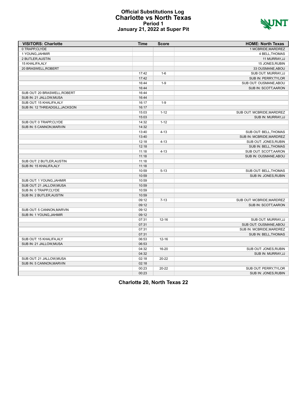#### **Official Substitutions Log Charlotte vs North Texas Period 1 January 21, 2022 at Super Pit**



| <b>VISITORS: Charlotte</b>     | <b>Time</b> | <b>Score</b> | <b>HOME: North Texas</b>    |
|--------------------------------|-------------|--------------|-----------------------------|
| 0 TRAPP.CLYDE                  |             |              | 1 MCBRIDE.MARDREZ           |
| 1 YOUNG, JAHMIR                |             |              | 4 BELL, THOMAS              |
| 2 BUTLER, AUSTIN               |             |              | 11 MURRAY, JJ               |
| 15 KHALIFA, ALY                |             |              | 15 JONES, RUBIN             |
| 20 BRASWELL, ROBERT            |             |              | 33 OUSMANE, ABOU            |
|                                | 17:42       | $1-6$        | SUB OUT: MURRAY, JJ         |
|                                | 17:42       |              | SUB IN: PERRY, TYLOR        |
|                                | 16:44       | $1 - 9$      | SUB OUT: OUSMANE, ABOU      |
|                                | 16:44       |              | SUB IN: SCOTT, AARON        |
| SUB OUT: 20 BRASWELL, ROBERT   | 16:44       |              |                             |
| SUB IN: 21 JALLOW, MUSA        | 16:44       |              |                             |
| SUB OUT: 15 KHALIFA, ALY       | 16:17       | $1-9$        |                             |
| SUB IN: 12 THREADGILL, JACKSON | 16:17       |              |                             |
|                                | 15:03       | $1 - 12$     | SUB OUT: MCBRIDE, MARDREZ   |
|                                | 15:03       |              | SUB IN: MURRAY, JJ          |
| SUB OUT: 0 TRAPP,CLYDE         | 14:32       | $1 - 12$     |                             |
| SUB IN: 5 CANNON, MARVIN       | 14:32       |              |                             |
|                                | 13:40       | $4 - 13$     | SUB OUT: BELL, THOMAS       |
|                                | 13:40       |              | SUB IN: MCBRIDE, MARDREZ    |
|                                | 12:18       | $4 - 13$     | SUB OUT: JONES, RUBIN       |
|                                | 12:18       |              | <b>SUB IN: BELL, THOMAS</b> |
|                                | 11:18       | $4 - 13$     | SUB OUT: SCOTT, AARON       |
|                                | 11:18       |              | SUB IN: OUSMANE, ABOU       |
| SUB OUT: 2 BUTLER, AUSTIN      | 11:18       |              |                             |
| SUB IN: 15 KHALIFA, ALY        | 11:18       |              |                             |
|                                | 10:59       | $5 - 13$     | SUB OUT: BELL, THOMAS       |
|                                | 10:59       |              | SUB IN: JONES, RUBIN        |
| SUB OUT: 1 YOUNG, JAHMIR       | 10:59       |              |                             |
| SUB OUT: 21 JALLOW, MUSA       | 10:59       |              |                             |
| SUB IN: 0 TRAPP,CLYDE          | 10:59       |              |                             |
| SUB IN: 2 BUTLER, AUSTIN       | 10:59       |              |                             |
|                                | 09:12       | $7 - 13$     | SUB OUT: MCBRIDE, MARDREZ   |
|                                | 09:12       |              | SUB IN: SCOTT, AARON        |
| SUB OUT: 5 CANNON, MARVIN      | 09:12       |              |                             |
| SUB IN: 1 YOUNG, JAHMIR        | 09:12       |              |                             |
|                                | 07:31       | $12 - 16$    | SUB OUT: MURRAY, JJ         |
|                                | 07:31       |              | SUB OUT: OUSMANE, ABOU      |
|                                | 07:31       |              | SUB IN: MCBRIDE, MARDREZ    |
|                                | 07:31       |              | SUB IN: BELL, THOMAS        |
| SUB OUT: 15 KHALIFA, ALY       | 06:53       | $12 - 16$    |                             |
| SUB IN: 21 JALLOW, MUSA        | 06:53       |              |                             |
|                                | 04:32       | $16 - 20$    | SUB OUT: JONES, RUBIN       |
|                                | 04:32       |              | SUB IN: MURRAY, JJ          |
| SUB OUT: 21 JALLOW, MUSA       | 02:18       | $20 - 22$    |                             |
| SUB IN: 5 CANNON.MARVIN        | 02:18       |              |                             |
|                                | 00:23       | $20 - 22$    | SUB OUT: PERRY TYLOR        |
|                                | 00:23       |              | SUB IN: JONES, RUBIN        |
|                                |             |              |                             |

**Charlotte 20, North Texas 22**